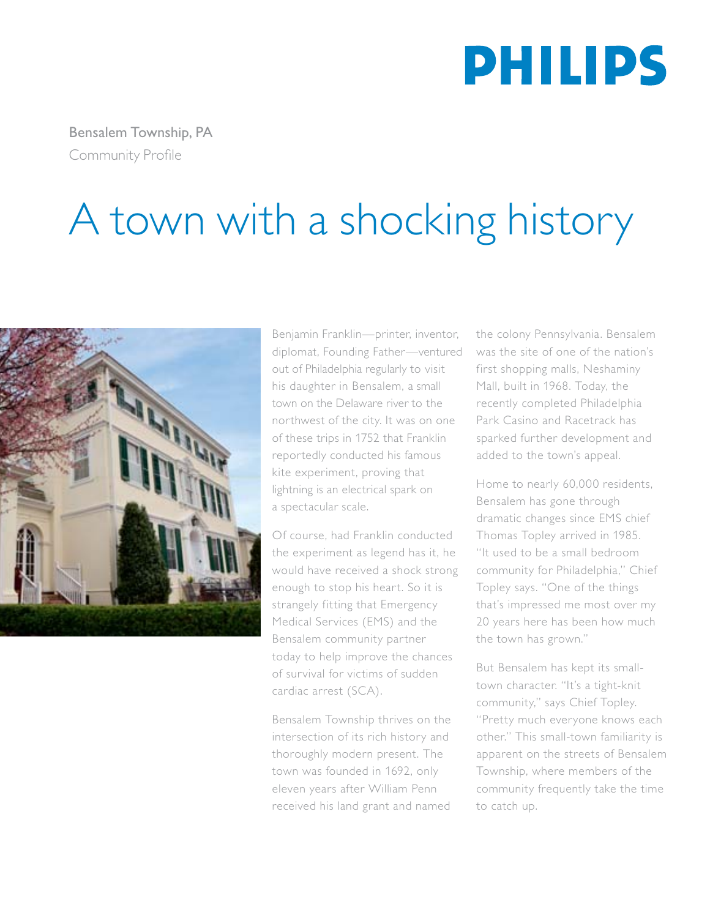

Bensalem Township, PA Community Profile

## A town with a shocking history



Benjamin Franklin—printer, inventor, diplomat, Founding Father—ventured out of Philadelphia regularly to visit his daughter in Bensalem, a small town on the Delaware river to the northwest of the city. It was on one of these trips in 1752 that Franklin reportedly conducted his famous kite experiment, proving that lightning is an electrical spark on a spectacular scale.

Of course, had Franklin conducted the experiment as legend has it, he would have received a shock strong enough to stop his heart. So it is strangely fitting that Emergency Medical Services (EMS) and the Bensalem community partner today to help improve the chances of survival for victims of sudden cardiac arrest (SCA).

Bensalem Township thrives on the intersection of its rich history and thoroughly modern present. The town was founded in 1692, only eleven years after William Penn received his land grant and named the colony Pennsylvania. Bensalem was the site of one of the nation's first shopping malls, Neshaminy Mall, built in 1968. Today, the recently completed Philadelphia Park Casino and Racetrack has sparked further development and added to the town's appeal.

Home to nearly 60,000 residents, Bensalem has gone through dramatic changes since EMS chief Thomas Topley arrived in 1985. "It used to be a small bedroom community for Philadelphia," Chief Topley says. "One of the things that's impressed me most over my 20 years here has been how much the town has grown."

But Bensalem has kept its smalltown character. "It's a tight-knit community," says Chief Topley. "Pretty much everyone knows each other." This small-town familiarity is apparent on the streets of Bensalem Township, where members of the community frequently take the time to catch up.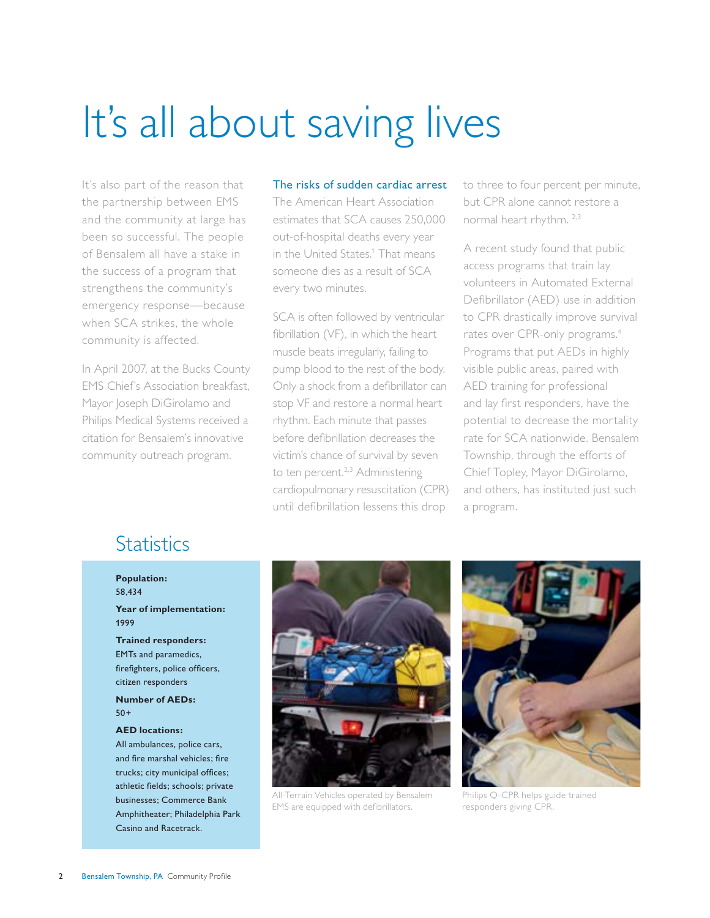## It's all about saving lives

It's also part of the reason that the partnership between EMS and the community at large has been so successful. The people of Bensalem all have a stake in the success of a program that strengthens the community's emergency response—because when SCA strikes, the whole community is affected.

In April 2007, at the Bucks County EMS Chief's Association breakfast, Mayor Joseph DiGirolamo and Philips Medical Systems received a citation for Bensalem's innovative community outreach program.

### The risks of sudden cardiac arrest

The American Heart Association estimates that SCA causes 250,000 out-of-hospital deaths every year in the United States.<sup>1</sup> That means someone dies as a result of SCA every two minutes.

SCA is often followed by ventricular fibrillation (VF), in which the heart muscle beats irregularly, failing to pump blood to the rest of the body. Only a shock from a defibrillator can stop VF and restore a normal heart rhythm. Each minute that passes before defibrillation decreases the victim's chance of survival by seven to ten percent.<sup>2,3</sup> Administering cardiopulmonary resuscitation (CPR) until defibrillation lessens this drop

to three to four percent per minute, but CPR alone cannot restore a normal heart rhythm. 2,3

A recent study found that public access programs that train lay volunteers in Automated External Defibrillator (AED) use in addition to CPR drastically improve survival rates over CPR-only programs.<sup>4</sup> Programs that put AEDs in highly visible public areas, paired with AED training for professional and lay first responders, have the potential to decrease the mortality rate for SCA nationwide. Bensalem Township, through the efforts of Chief Topley, Mayor DiGirolamo, and others, has instituted just such a program.

### **Statistics**

**Population:**  58,434

**Year of implementation:** 1999

**Trained responders:**  EMTs and paramedics, firefighters, police officers, citizen responders

**Number of AEDs:**  50+

#### **AED locations:**

All ambulances, police cars, and fire marshal vehicles; fire trucks; city municipal offices; athletic fields; schools; private businesses; Commerce Bank Amphitheater; Philadelphia Park Casino and Racetrack.



All-Terrain Vehicles operated by Bensalem EMS are equipped with defibrillators.



Philips Q-CPR helps guide trained responders giving CPR.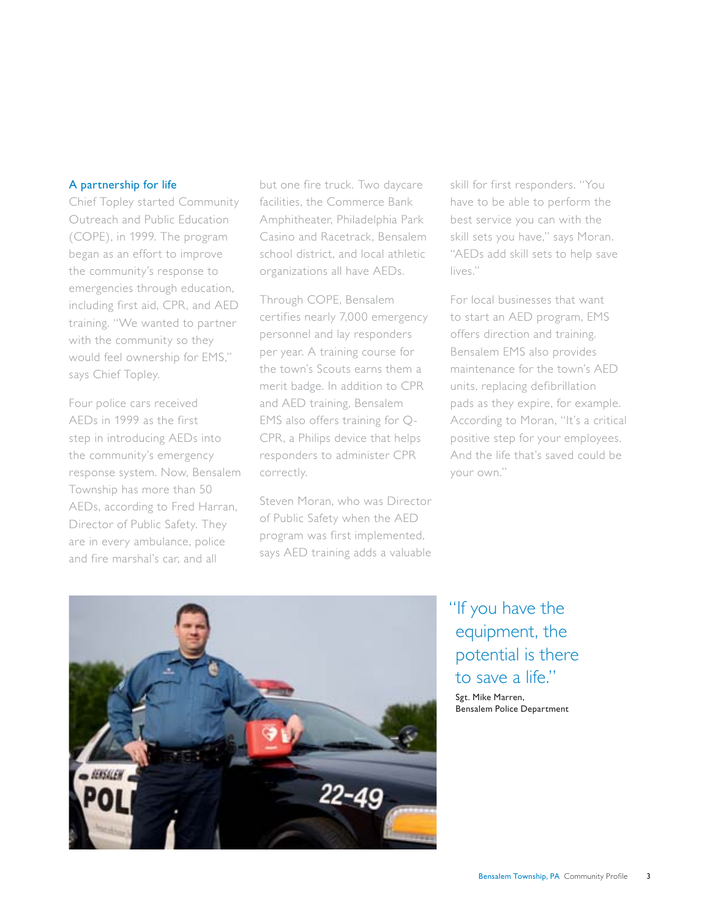### A partnership for life

Chief Topley started Community Outreach and Public Education (COPE), in 1999. The program began as an effort to improve the community's response to emergencies through education, including first aid, CPR, and AED training. "We wanted to partner with the community so they would feel ownership for EMS," says Chief Topley.

Four police cars received AEDs in 1999 as the first step in introducing AEDs into the community's emergency response system. Now, Bensalem Township has more than 50 AEDs, according to Fred Harran, Director of Public Safety. They are in every ambulance, police and fire marshal's car, and all

but one fire truck. Two daycare facilities, the Commerce Bank Amphitheater, Philadelphia Park Casino and Racetrack, Bensalem school district, and local athletic organizations all have AEDs.

Through COPE, Bensalem certifies nearly 7,000 emergency personnel and lay responders per year. A training course for the town's Scouts earns them a merit badge. In addition to CPR and AED training, Bensalem EMS also offers training for Q-CPR, a Philips device that helps responders to administer CPR correctly.

Steven Moran, who was Director of Public Safety when the AED program was first implemented, says AED training adds a valuable skill for first responders. "You have to be able to perform the best service you can with the skill sets you have," says Moran. "AEDs add skill sets to help save lives."

For local businesses that want to start an AED program, EMS offers direction and training. Bensalem EMS also provides maintenance for the town's AED units, replacing defibrillation pads as they expire, for example. According to Moran, "It's a critical positive step for your employees. And the life that's saved could be your own."



### "If you have the equipment, the potential is there to save a life."

Sgt. Mike Marren, Bensalem Police Department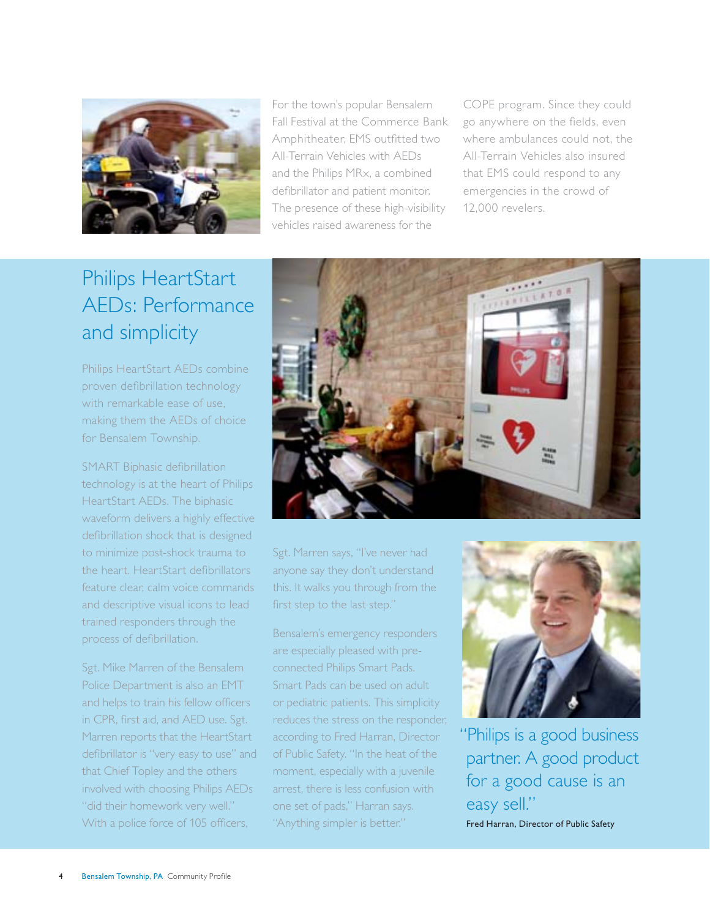

For the town's popular Bensalem Fall Festival at the Commerce Bank Amphitheater, EMS outfitted two All-Terrain Vehicles with AEDs and the Philips MRx, a combined defibrillator and patient monitor. The presence of these high-visibility vehicles raised awareness for the

COPE program. Since they could go anywhere on the fields, even where ambulances could not, the All-Terrain Vehicles also insured that EMS could respond to any emergencies in the crowd of 12,000 revelers.

## Philips HeartStart AEDs: Performance and simplicity

Philips HeartStart AEDs combine proven defibrillation technology with remarkable ease of use, making them the AEDs of choice for Bensalem Township.

SMART Biphasic defibrillation technology is at the heart of Philips HeartStart AEDs. The biphasic waveform delivers a highly effective defibrillation shock that is designed to minimize post-shock trauma to the heart. HeartStart defibrillators feature clear, calm voice commands and descriptive visual icons to lead trained responders through the process of defibrillation.

Sgt. Mike Marren of the Bensalem Police Department is also an EMT and helps to train his fellow officers in CPR, first aid, and AED use. Sgt. Marren reports that the HeartStart defibrillator is "very easy to use" and that Chief Topley and the others involved with choosing Philips AEDs "did their homework very well." With a police force of 105 officers,



Sgt. Marren says, "I've never had anyone say they don't understand this. It walks you through from the first step to the last step."

Bensalem's emergency responders are especially pleased with preconnected Philips Smart Pads. Smart Pads can be used on adult or pediatric patients. This simplicity reduces the stress on the responder, according to Fred Harran, Director of Public Safety. "In the heat of the moment, especially with a juvenile arrest, there is less confusion with one set of pads," Harran says. "Anything simpler is better."



"Philips is a good business partner. A good product for a good cause is an easy sell." Fred Harran, Director of Public Safety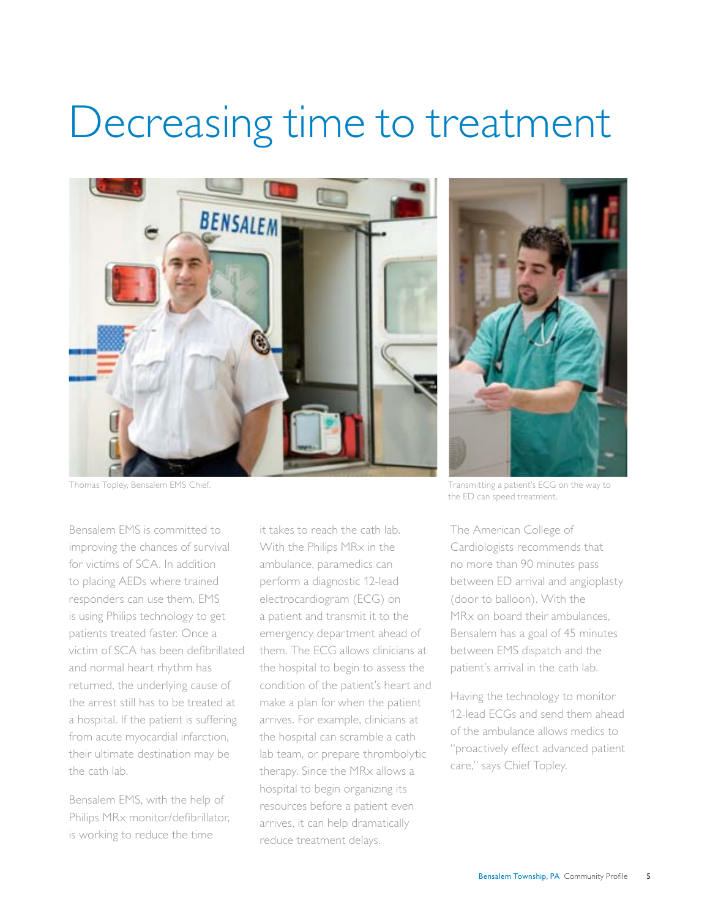## Decreasing time to treatment



Bensalem EMS is committed to improving the chances of survival for victims of SCA. In addition to placing AEDs where trained responders can use them, EMS is using Philips technology to get patients treated faster. Once a victim of SCA has been defibrillated and normal heart rhythm has returned, the underlying cause of the arrest still has to be treated at a hospital. If the patient is suffering from acute myocardial infarction, their ultimate destination may be the cath lab.

Bensalem EMS, with the help of Philips MRx monitor/defibrillator, is working to reduce the time

it takes to reach the cath lab. With the Philips MRx in the ambulance, paramedics can perform a diagnostic 12-lead electrocardiogram (ECG) on a patient and transmit it to the emergency department ahead of them. The ECG allows clinicians at the hospital to begin to assess the condition of the patient's heart and make a plan for when the patient arrives. For example, clinicians at the hospital can scramble a cath lab team, or prepare thrombolytic therapy. Since the MRx allows a hospital to begin organizing its resources before a patient even arrives, it can help dramatically reduce treatment delays.



Thomas Topley, Bensalem EMS Chief. The matrice of the way to the way to the way to the way to the way to the way to the way to the way to the way to the way to the way to the way to the way to the way to the way to the way the ED can speed treatment.

The American College of Cardiologists recommends that no more than 90 minutes pass between ED arrival and angioplasty (door to balloon). With the MR<sub>x</sub> on board their ambulances Bensalem has a goal of 45 minutes between EMS dispatch and the patient's arrival in the cath lab.

Having the technology to monitor 12-lead ECGs and send them ahead of the ambulance allows medics to "proactively effect advanced patient care," says Chief Topley.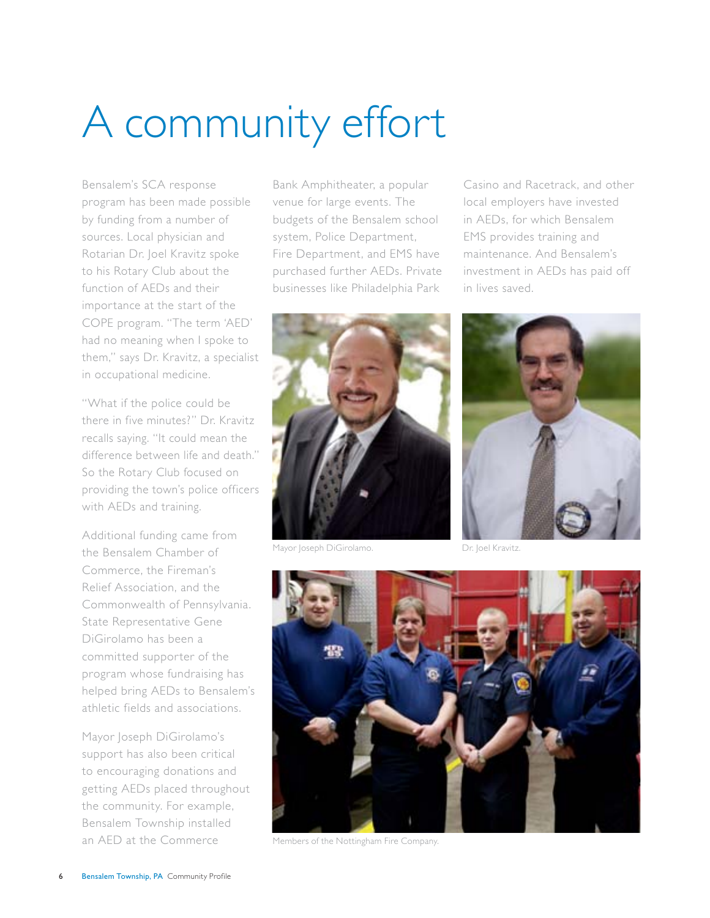# A community effort

Bensalem's SCA response program has been made possible by funding from a number of sources. Local physician and Rotarian Dr. Joel Kravitz spoke to his Rotary Club about the function of AEDs and their importance at the start of the COPE program. "The term 'AED' had no meaning when I spoke to them," says Dr. Kravitz, a specialist in occupational medicine.

"What if the police could be there in five minutes?" Dr. Kravitz recalls saying. "It could mean the difference between life and death." So the Rotary Club focused on providing the town's police officers with AEDs and training.

Additional funding came from the Bensalem Chamber of Commerce, the Fireman's Relief Association, and the Commonwealth of Pennsylvania. State Representative Gene DiGirolamo has been a committed supporter of the program whose fundraising has helped bring AEDs to Bensalem's athletic fields and associations.

Mayor Joseph DiGirolamo's support has also been critical to encouraging donations and getting AEDs placed throughout the community. For example, Bensalem Township installed an AED at the Commerce

Bank Amphitheater, a popular venue for large events. The budgets of the Bensalem school system, Police Department, Fire Department, and EMS have purchased further AEDs. Private businesses like Philadelphia Park

Casino and Racetrack, and other local employers have invested in AEDs, for which Bensalem EMS provides training and maintenance. And Bensalem's investment in AEDs has paid off in lives saved.



Mayor Joseph DiGirolamo. Dr. Joel Kravitz.





Members of the Nottingham Fire Company.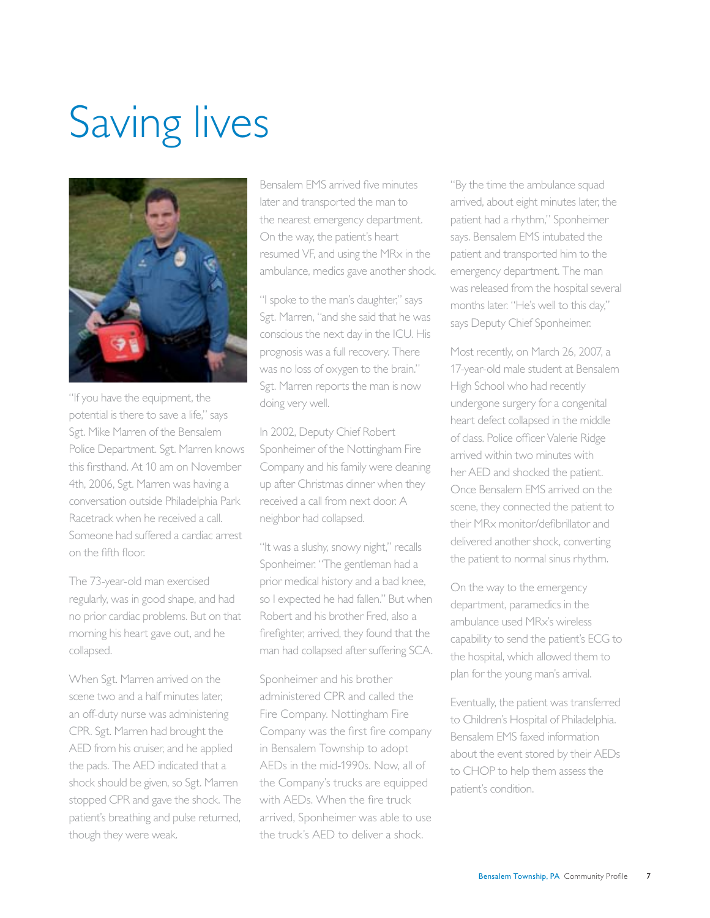# Saving lives



"If you have the equipment, the potential is there to save a life," says Sgt. Mike Marren of the Bensalem Police Department. Sgt. Marren knows this firsthand. At 10 am on November 4th, 2006, Sgt. Marren was having a conversation outside Philadelphia Park Racetrack when he received a call. Someone had suffered a cardiac arrest on the fifth floor.

The 73-year-old man exercised regularly, was in good shape, and had no prior cardiac problems. But on that morning his heart gave out, and he collapsed.

When Sgt. Marren arrived on the scene two and a half minutes later, an off-duty nurse was administering CPR. Sgt. Marren had brought the AED from his cruiser, and he applied the pads. The AED indicated that a shock should be given, so Sgt. Marren stopped CPR and gave the shock. The patient's breathing and pulse returned, though they were weak.

Bensalem EMS arrived five minutes later and transported the man to the nearest emergency department. On the way, the patient's heart resumed VF, and using the MRx in the ambulance, medics gave another shock.

"I spoke to the man's daughter," says Sgt. Marren, "and she said that he was conscious the next day in the ICU. His prognosis was a full recovery. There was no loss of oxygen to the brain." Sgt. Marren reports the man is now doing very well.

In 2002, Deputy Chief Robert Sponheimer of the Nottingham Fire Company and his family were cleaning up after Christmas dinner when they received a call from next door. A neighbor had collapsed.

"It was a slushy, snowy night," recalls Sponheimer. "The gentleman had a prior medical history and a bad knee, so I expected he had fallen." But when Robert and his brother Fred, also a firefighter, arrived, they found that the man had collapsed after suffering SCA.

Sponheimer and his brother administered CPR and called the Fire Company. Nottingham Fire Company was the first fire company in Bensalem Township to adopt AEDs in the mid-1990s. Now, all of the Company's trucks are equipped with AEDs. When the fire truck arrived, Sponheimer was able to use the truck's AED to deliver a shock.

"By the time the ambulance squad arrived, about eight minutes later, the patient had a rhythm," Sponheimer says. Bensalem EMS intubated the patient and transported him to the emergency department. The man was released from the hospital several months later. "He's well to this day," says Deputy Chief Sponheimer.

Most recently, on March 26, 2007, a 17-year-old male student at Bensalem High School who had recently undergone surgery for a congenital heart defect collapsed in the middle of class. Police officer Valerie Ridge arrived within two minutes with her AED and shocked the patient. Once Bensalem EMS arrived on the scene, they connected the patient to their MRx monitor/defibrillator and delivered another shock, converting the patient to normal sinus rhythm.

On the way to the emergency department, paramedics in the ambulance used MRx's wireless capability to send the patient's ECG to the hospital, which allowed them to plan for the young man's arrival.

Eventually, the patient was transferred to Children's Hospital of Philadelphia. Bensalem EMS faxed information about the event stored by their AEDs to CHOP to help them assess the patient's condition.